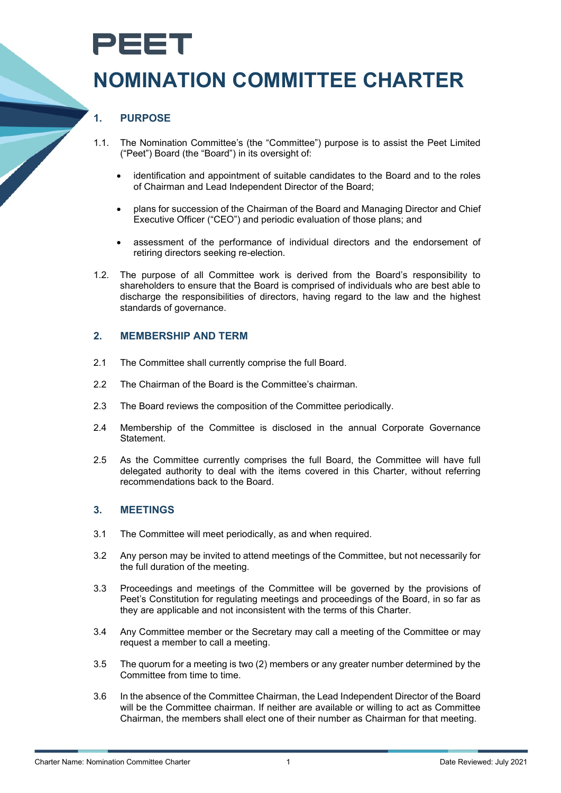# PEET

## **NOMINATION COMMITTEE CHARTER**

### **1. PURPOSE**

- 1.1. The Nomination Committee's (the "Committee") purpose is to assist the Peet Limited ("Peet") Board (the "Board") in its oversight of:
	- identification and appointment of suitable candidates to the Board and to the roles of Chairman and Lead Independent Director of the Board;
	- plans for succession of the Chairman of the Board and Managing Director and Chief Executive Officer ("CEO") and periodic evaluation of those plans; and
	- assessment of the performance of individual directors and the endorsement of retiring directors seeking re-election.
- 1.2. The purpose of all Committee work is derived from the Board's responsibility to shareholders to ensure that the Board is comprised of individuals who are best able to discharge the responsibilities of directors, having regard to the law and the highest standards of governance.

#### **2. MEMBERSHIP AND TERM**

- 2.1 The Committee shall currently comprise the full Board.
- 2.2 The Chairman of the Board is the Committee's chairman.
- 2.3 The Board reviews the composition of the Committee periodically.
- 2.4 Membership of the Committee is disclosed in the annual Corporate Governance Statement.
- 2.5 As the Committee currently comprises the full Board, the Committee will have full delegated authority to deal with the items covered in this Charter, without referring recommendations back to the Board.

#### **3. MEETINGS**

- 3.1 The Committee will meet periodically, as and when required.
- 3.2 Any person may be invited to attend meetings of the Committee, but not necessarily for the full duration of the meeting.
- 3.3 Proceedings and meetings of the Committee will be governed by the provisions of Peet's Constitution for regulating meetings and proceedings of the Board, in so far as they are applicable and not inconsistent with the terms of this Charter.
- 3.4 Any Committee member or the Secretary may call a meeting of the Committee or may request a member to call a meeting.
- 3.5 The quorum for a meeting is two (2) members or any greater number determined by the Committee from time to time.
- 3.6 In the absence of the Committee Chairman, the Lead Independent Director of the Board will be the Committee chairman. If neither are available or willing to act as Committee Chairman, the members shall elect one of their number as Chairman for that meeting.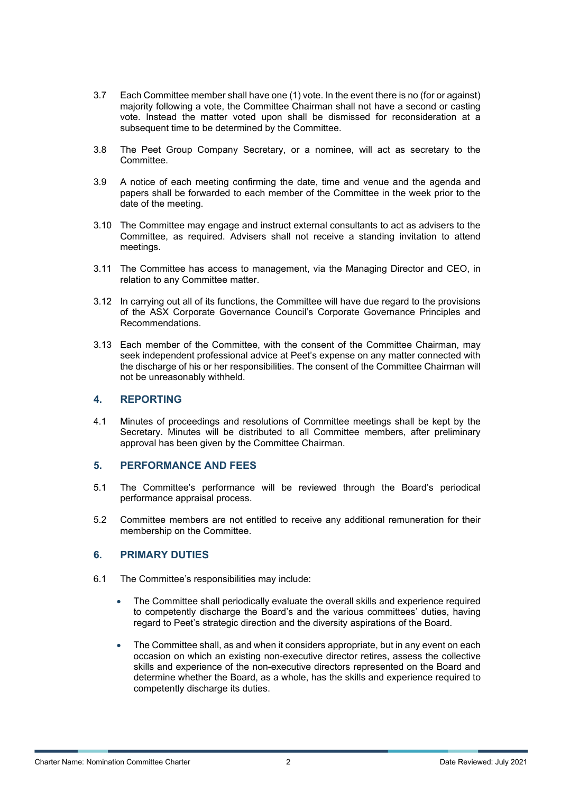- 3.7 Each Committee member shall have one (1) vote. In the event there is no (for or against) majority following a vote, the Committee Chairman shall not have a second or casting vote. Instead the matter voted upon shall be dismissed for reconsideration at a subsequent time to be determined by the Committee.
- 3.8 The Peet Group Company Secretary, or a nominee, will act as secretary to the Committee.
- 3.9 A notice of each meeting confirming the date, time and venue and the agenda and papers shall be forwarded to each member of the Committee in the week prior to the date of the meeting.
- 3.10 The Committee may engage and instruct external consultants to act as advisers to the Committee, as required. Advisers shall not receive a standing invitation to attend meetings.
- 3.11 The Committee has access to management, via the Managing Director and CEO, in relation to any Committee matter.
- 3.12 In carrying out all of its functions, the Committee will have due regard to the provisions of the ASX Corporate Governance Council's Corporate Governance Principles and Recommendations.
- 3.13 Each member of the Committee, with the consent of the Committee Chairman, may seek independent professional advice at Peet's expense on any matter connected with the discharge of his or her responsibilities. The consent of the Committee Chairman will not be unreasonably withheld.

#### **4. REPORTING**

4.1 Minutes of proceedings and resolutions of Committee meetings shall be kept by the Secretary. Minutes will be distributed to all Committee members, after preliminary approval has been given by the Committee Chairman.

#### **5. PERFORMANCE AND FEES**

- 5.1 The Committee's performance will be reviewed through the Board's periodical performance appraisal process.
- 5.2 Committee members are not entitled to receive any additional remuneration for their membership on the Committee.

#### **6. PRIMARY DUTIES**

- 6.1 The Committee's responsibilities may include:
	- The Committee shall periodically evaluate the overall skills and experience required to competently discharge the Board's and the various committees' duties, having regard to Peet's strategic direction and the diversity aspirations of the Board.
	- The Committee shall, as and when it considers appropriate, but in any event on each occasion on which an existing non-executive director retires, assess the collective skills and experience of the non-executive directors represented on the Board and determine whether the Board, as a whole, has the skills and experience required to competently discharge its duties.